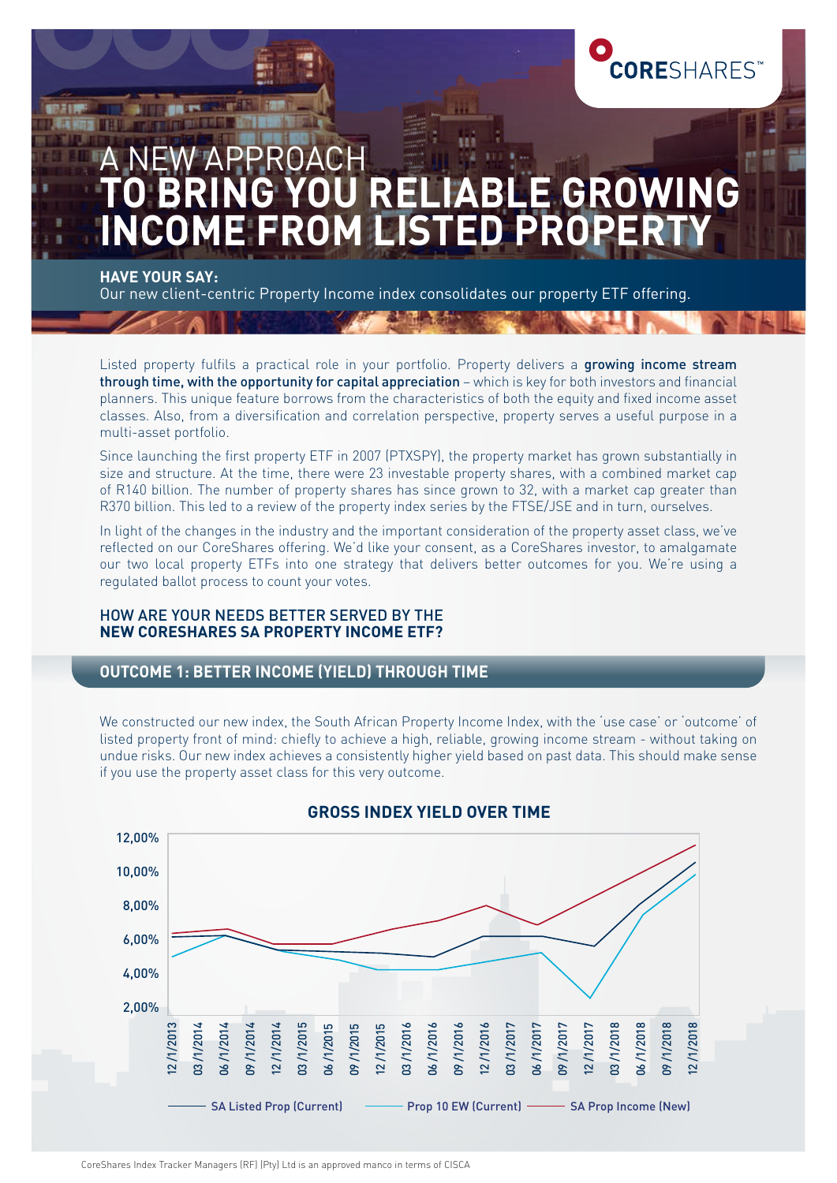

# PROACH **J RELIABLE GROW<br>4 LISTED PROPER COME FROM LISTE**

**HAVE YOUR SAY:** 

49.95

Our new client-centric Property Income index consolidates our property ETF offering.

Listed property fulfils a practical role in your portfolio. Property delivers a growing income stream through time, with the opportunity for capital appreciation – which is key for both investors and financial planners. This unique feature borrows from the characteristics of both the equity and fixed income asset classes. Also, from a diversification and correlation perspective, property serves a useful purpose in a multi-asset portfolio.

Since launching the first property ETF in 2007 (PTXSPY), the property market has grown substantially in size and structure. At the time, there were 23 investable property shares, with a combined market cap of R140 billion. The number of property shares has since grown to 32, with a market cap greater than R370 billion. This led to a review of the property index series by the FTSE/JSE and in turn, ourselves.

In light of the changes in the industry and the important consideration of the property asset class, we've reflected on our CoreShares offering. We'd like your consent, as a CoreShares investor, to amalgamate our two local property ETFs into one strategy that delivers better outcomes for you. We're using a regulated ballot process to count your votes.

#### HOW ARE YOUR NEEDS BETTER SERVED BY THE **NEW CORESHARES SA PROPERTY INCOME ETF?**

## **OUTCOME 1: BETTER INCOME (YIELD) THROUGH TIME**

We constructed our new index, the South African Property Income Index, with the 'use case' or 'outcome' of listed property front of mind: chiefly to achieve a high, reliable, growing income stream - without taking on undue risks. Our new index achieves a consistently higher yield based on past data. This should make sense if you use the property asset class for this very outcome.



#### **GROSS INDEX YIELD OVER TIME**

CoreShares Index Tracker Managers (RF) (Pty) Ltd is an approved manco in terms of CISCA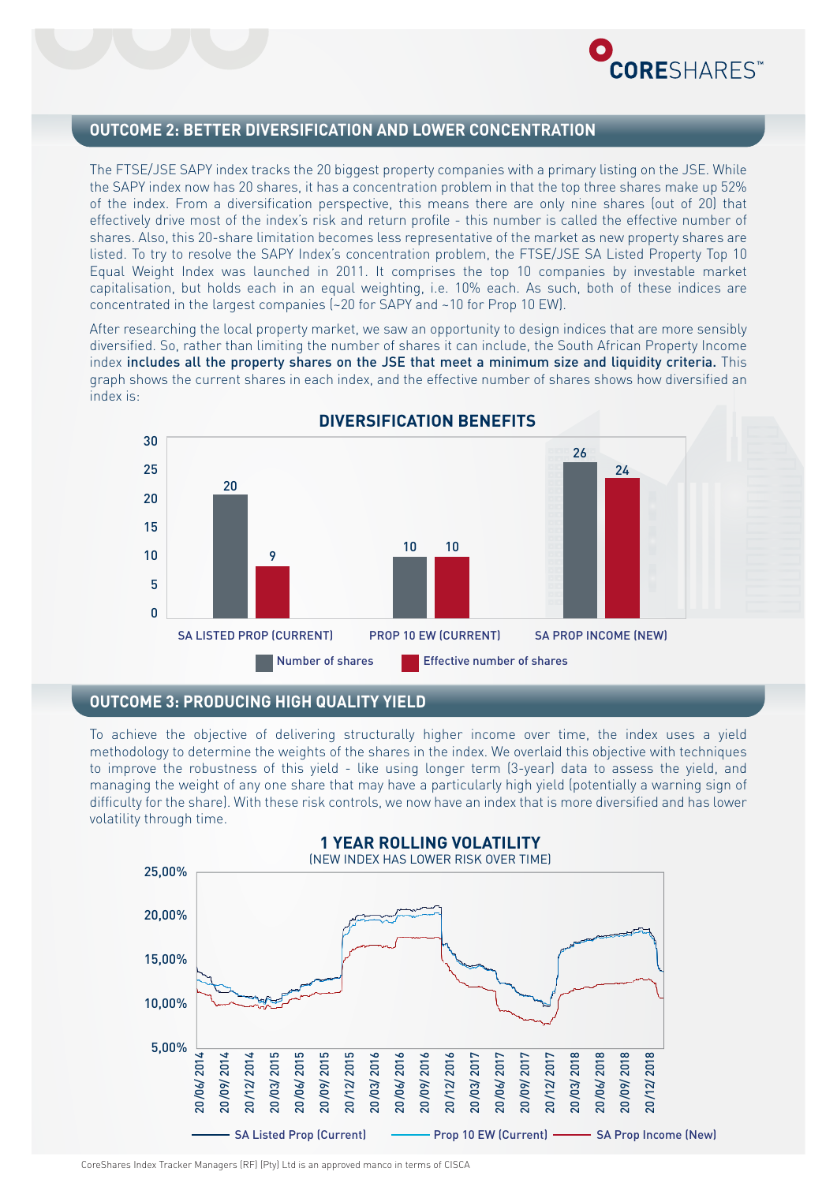

### **OUTCOME 2: BETTER DIVERSIFICATION AND LOWER CONCENTRATION**

The FTSE/JSE SAPY index tracks the 20 biggest property companies with a primary listing on the JSE. While the SAPY index now has 20 shares, it has a concentration problem in that the top three shares make up 52% of the index. From a diversification perspective, this means there are only nine shares (out of 20) that effectively drive most of the index's risk and return profile - this number is called the effective number of shares. Also, this 20-share limitation becomes less representative of the market as new property shares are listed. To try to resolve the SAPY Index's concentration problem, the FTSE/JSE SA Listed Property Top 10 Equal Weight Index was launched in 2011. It comprises the top 10 companies by investable market capitalisation, but holds each in an equal weighting, i.e. 10% each. As such, both of these indices are concentrated in the largest companies (~20 for SAPY and ~10 for Prop 10 EW).

After researching the local property market, we saw an opportunity to design indices that are more sensibly diversified. So, rather than limiting the number of shares it can include, the South African Property Income index includes all the property shares on the JSE that meet a minimum size and liquidity criteria. This graph shows the current shares in each index, and the effective number of shares shows how diversified an index is:



#### **OUTCOME 3: PRODUCING HIGH QUALITY YIELD**

To achieve the objective of delivering structurally higher income over time, the index uses a yield methodology to determine the weights of the shares in the index. We overlaid this objective with techniques to improve the robustness of this yield - like using longer term (3-year) data to assess the yield, and managing the weight of any one share that may have a particularly high yield (potentially a warning sign of difficulty for the share). With these risk controls, we now have an index that is more diversified and has lower volatility through time.



CoreShares Index Tracker Managers (RF) (Pty) Ltd is an approved manco in terms of CISCA